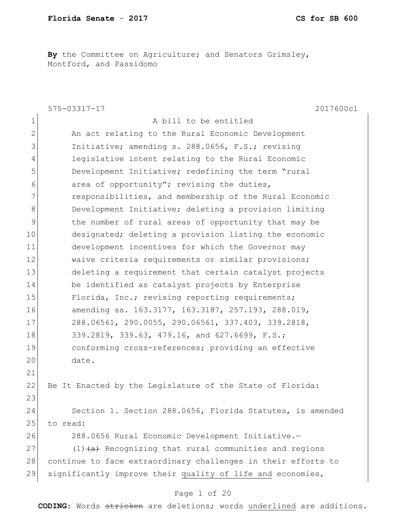**By** the Committee on Agriculture; and Senators Grimsley, Montford, and Passidomo

|                | 2017600c1<br>575-03317-17                                     |
|----------------|---------------------------------------------------------------|
| $\mathbf 1$    | A bill to be entitled                                         |
| $\overline{2}$ | An act relating to the Rural Economic Development             |
| 3              | Initiative; amending s. 288.0656, F.S.; revising              |
| 4              | legislative intent relating to the Rural Economic             |
| 5              | Development Initiative; redefining the term "rural            |
| 6              | area of opportunity"; revising the duties,                    |
| 7              | responsibilities, and membership of the Rural Economic        |
| 8              | Development Initiative; deleting a provision limiting         |
| 9              | the number of rural areas of opportunity that may be          |
| 10             | designated; deleting a provision listing the economic         |
| 11             | development incentives for which the Governor may             |
| 12             | waive criteria requirements or similar provisions;            |
| 13             | deleting a requirement that certain catalyst projects         |
| 14             | be identified as catalyst projects by Enterprise              |
| 15             | Florida, Inc.; revising reporting requirements;               |
| 16             | amending ss. 163.3177, 163.3187, 257.193, 288.019,            |
| 17             | 288.06561, 290.0055, 290.06561, 337.403, 339.2818,            |
| 18             | 339.2819, 339.63, 479.16, and 627.6699, F.S.;                 |
| 19             | conforming cross-references; providing an effective           |
| 20             | date.                                                         |
| 21             |                                                               |
| 22             | Be It Enacted by the Leqislature of the State of Florida:     |
| 23             |                                                               |
| 24             | Section 1. Section 288.0656, Florida Statutes, is amended     |
| 25             | to read:                                                      |
| 26             | 288.0656 Rural Economic Development Initiative.-              |
| 27             | $(1)$ $(a)$ Recognizing that rural communities and regions    |
| 28             | continue to face extraordinary challenges in their efforts to |
| 29             | significantly improve their quality of life and economies,    |
|                |                                                               |

# Page 1 of 20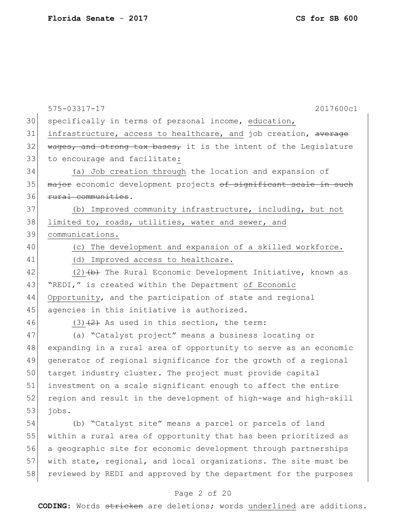|    | 2017600c1<br>575-03317-17                                        |
|----|------------------------------------------------------------------|
| 30 | specifically in terms of personal income, education,             |
| 31 | infrastructure, access to healthcare, and job creation, average  |
| 32 | wages, and strong tax bases, it is the intent of the Legislature |
| 33 | to encourage and facilitate:                                     |
| 34 | (a) Job creation through the location and expansion of           |
| 35 | major economic development projects of significant scale in such |
| 36 | rural communities.                                               |
| 37 | (b) Improved community infrastructure, including, but not        |
| 38 | limited to, roads, utilities, water and sewer, and               |
| 39 | communications.                                                  |
| 40 | (c) The development and expansion of a skilled workforce.        |
| 41 | (d) Improved access to healthcare.                               |
| 42 | $(2)$ $(b)$ The Rural Economic Development Initiative, known as  |
| 43 | "REDI," is created within the Department of Economic             |
| 44 | Opportunity, and the participation of state and regional         |
| 45 | agencies in this initiative is authorized.                       |
| 46 | $(3)$ $(2)$ As used in this section, the term:                   |
| 47 | (a) "Catalyst project" means a business locating or              |
| 48 | expanding in a rural area of opportunity to serve as an economic |
| 49 | generator of regional significance for the growth of a regional  |
| 50 | target industry cluster. The project must provide capital        |
| 51 | investment on a scale significant enough to affect the entire    |
| 52 | region and result in the development of high-wage and high-skill |
| 53 | jobs.                                                            |
| 54 | (b) "Catalyst site" means a parcel or parcels of land            |
| 55 | within a rural area of opportunity that has been prioritized as  |
| 56 | a geographic site for economic development through partnerships  |
| 57 | with state, regional, and local organizations. The site must be  |
| 58 | reviewed by REDI and approved by the department for the purposes |
|    | Page 2 of 20                                                     |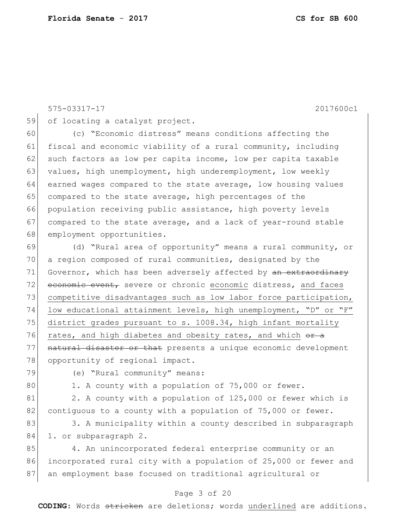575-03317-17 2017600c1 59 of locating a catalyst project. 60 (c) "Economic distress" means conditions affecting the 61 fiscal and economic viability of a rural community, including 62 such factors as low per capita income, low per capita taxable 63 values, high unemployment, high underemployment, low weekly 64 earned wages compared to the state average, low housing values 65 compared to the state average, high percentages of the 66 population receiving public assistance, high poverty levels 67 compared to the state average, and a lack of year-round stable 68 employment opportunities. 69 (d) "Rural area of opportunity" means a rural community, or 70 a region composed of rural communities, designated by the 71 Governor, which has been adversely affected by <del>an extraordinary</del> 72 economic event, severe or chronic economic distress, and faces 73 competitive disadvantages such as low labor force participation, 74 low educational attainment levels, high unemployment, "D" or "F" 75 district grades pursuant to s. 1008.34, high infant mortality 76 rates, and high diabetes and obesity rates, and which  $\sigma$  a 77 | natural disaster or that presents a unique economic development 78 opportunity of regional impact. 79 (e) "Rural community" means: 80 1. A county with a population of 75,000 or fewer. 81 2. A county with a population of 125,000 or fewer which is 82 contiguous to a county with a population of  $75,000$  or fewer. 83 3. A municipality within a county described in subparagraph 84 1. or subparagraph 2. 85 4. An unincorporated federal enterprise community or an 86 incorporated rural city with a population of 25,000 or fewer and 87 an employment base focused on traditional agricultural or

#### Page 3 of 20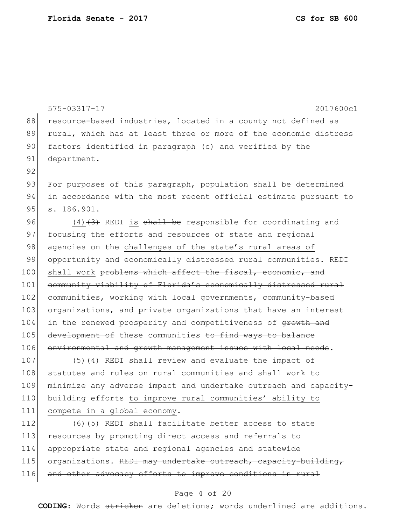88 resource-based industries, located in a county not defined as 89 rural, which has at least three or more of the economic distress 90 factors identified in paragraph (c) and verified by the 91 department. 92 93 For purposes of this paragraph, population shall be determined 94 in accordance with the most recent official estimate pursuant to 95 s. 186.901. 96  $(4)$   $(3)$  REDI is shall be responsible for coordinating and 97 focusing the efforts and resources of state and regional 98 agencies on the challenges of the state's rural areas of 99 opportunity and economically distressed rural communities. REDI 100 shall work problems which affect the fiscal, economic, and 101 community viability of Florida's economically distressed rural 102 communities, working with local governments, community-based 103 organizations, and private organizations that have an interest 104 in the renewed prosperity and competitiveness of growth and 105 development of these communities to find ways to balance 106 environmental and growth management issues with local needs. 107  $(5)$  (4) REDI shall review and evaluate the impact of 108 statutes and rules on rural communities and shall work to 109 minimize any adverse impact and undertake outreach and capacity-110 building efforts to improve rural communities' ability to 111 compete in a global economy. 112  $(6)$   $(5)$  REDI shall facilitate better access to state 113 resources by promoting direct access and referrals to 114 appropriate state and regional agencies and statewide 115 organizations. REDI may undertake outreach, capacity-building, 116 and other advocacy efforts to improve conditions in rural

575-03317-17 2017600c1

### Page 4 of 20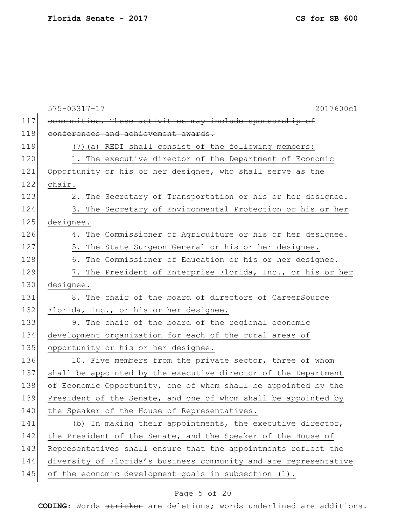|     | 575-03317-17<br>2017600c1                                        |
|-----|------------------------------------------------------------------|
| 117 | communities. These activities may include sponsorship of         |
| 118 | conferences and achievement awards.                              |
| 119 | (7) (a) REDI shall consist of the following members:             |
| 120 | 1. The executive director of the Department of Economic          |
| 121 | Opportunity or his or her designee, who shall serve as the       |
| 122 | chair.                                                           |
| 123 | 2. The Secretary of Transportation or his or her designee.       |
| 124 | 3. The Secretary of Environmental Protection or his or her       |
| 125 | designee.                                                        |
| 126 | 4. The Commissioner of Agriculture or his or her designee.       |
| 127 | 5. The State Surgeon General or his or her designee.             |
| 128 | 6. The Commissioner of Education or his or her designee.         |
| 129 | 7. The President of Enterprise Florida, Inc., or his or her      |
| 130 | designee.                                                        |
| 131 | 8. The chair of the board of directors of CareerSource           |
| 132 | Florida, Inc., or his or her designee.                           |
| 133 | 9. The chair of the board of the regional economic               |
| 134 | development organization for each of the rural areas of          |
| 135 | opportunity or his or her designee.                              |
| 136 | 10. Five members from the private sector, three of whom          |
| 137 | shall be appointed by the executive director of the Department   |
| 138 | of Economic Opportunity, one of whom shall be appointed by the   |
| 139 | President of the Senate, and one of whom shall be appointed by   |
| 140 | the Speaker of the House of Representatives.                     |
| 141 | In making their appointments, the executive director,<br>(b)     |
| 142 | the President of the Senate, and the Speaker of the House of     |
| 143 | Representatives shall ensure that the appointments reflect the   |
| 144 | diversity of Florida's business community and are representative |
| 145 | of the economic development goals in subsection (1).             |
|     |                                                                  |

## Page 5 of 20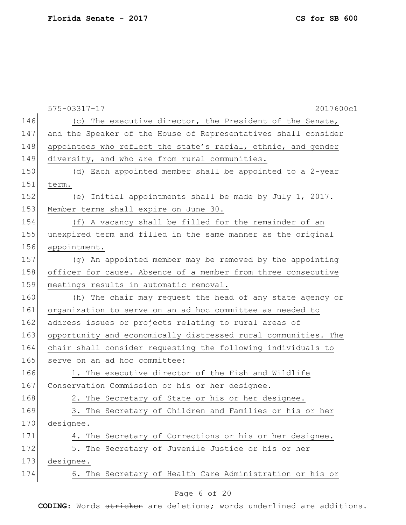|     | 2017600c1<br>575-03317-17                                      |
|-----|----------------------------------------------------------------|
| 146 | (c) The executive director, the President of the Senate,       |
| 147 | and the Speaker of the House of Representatives shall consider |
| 148 | appointees who reflect the state's racial, ethnic, and gender  |
| 149 | diversity, and who are from rural communities.                 |
| 150 | (d) Each appointed member shall be appointed to a 2-year       |
| 151 | term.                                                          |
| 152 | (e) Initial appointments shall be made by July 1, 2017.        |
| 153 | Member terms shall expire on June 30.                          |
| 154 | (f) A vacancy shall be filled for the remainder of an          |
| 155 | unexpired term and filled in the same manner as the original   |
| 156 | appointment.                                                   |
| 157 | (g) An appointed member may be removed by the appointing       |
| 158 | officer for cause. Absence of a member from three consecutive  |
| 159 | meetings results in automatic removal.                         |
| 160 | (h) The chair may request the head of any state agency or      |
| 161 | organization to serve on an ad hoc committee as needed to      |
| 162 | address issues or projects relating to rural areas of          |
| 163 | opportunity and economically distressed rural communities. The |
| 164 | chair shall consider requesting the following individuals to   |
| 165 | serve on an ad hoc committee:                                  |
| 166 | 1. The executive director of the Fish and Wildlife             |
| 167 | Conservation Commission or his or her designee.                |
| 168 | 2. The Secretary of State or his or her designee.              |
| 169 | 3. The Secretary of Children and Families or his or her        |
| 170 | designee.                                                      |
| 171 | 4. The Secretary of Corrections or his or her designee.        |
| 172 | 5. The Secretary of Juvenile Justice or his or her             |
| 173 | designee.                                                      |
| 174 | 6. The Secretary of Health Care Administration or his or       |
|     | Page 6 of 20                                                   |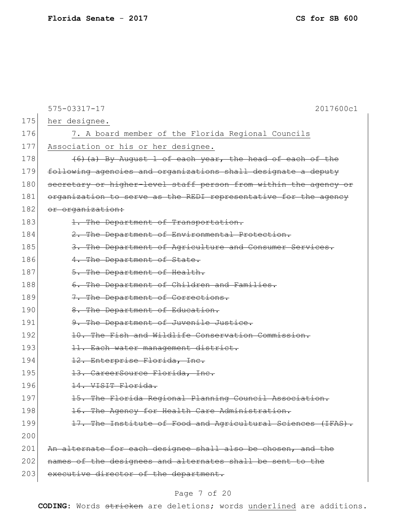|     | 575-03317-17<br>2017600c1                                        |
|-----|------------------------------------------------------------------|
| 175 | her designee.                                                    |
| 176 | 7. A board member of the Florida Regional Councils               |
| 177 | Association or his or her designee.                              |
| 178 | (6) (a) By August 1 of each year, the head of each of the        |
| 179 | following agencies and organizations shall designate a deputy    |
| 180 | secretary or higher-level staff person from within the agency or |
| 181 | organization to serve as the REDI representative for the agency  |
| 182 | or organization:                                                 |
| 183 | 1. The Department of Transportation.                             |
| 184 | 2. The Department of Environmental Protection.                   |
| 185 | 3. The Department of Agriculture and Consumer Services.          |
| 186 | 4. The Department of State.                                      |
| 187 | 5. The Department of Health.                                     |
| 188 | 6. The Department of Children and Families.                      |
| 189 | 7. The Department of Corrections.                                |
| 190 | 8. The Department of Education.                                  |
| 191 | 9. The Department of Juvenile Justice.                           |
| 192 | 10. The Fish and Wildlife Conservation Commission.               |
| 193 | 11. Each water management district.                              |
| 194 | 12. Enterprise Florida, Inc.                                     |
| 195 | 13. CareerSource Florida, Inc.                                   |
| 196 | 14. VISIT Florida.                                               |
| 197 | 15. The Florida Regional Planning Council Association.           |
| 198 | 16. The Agency for Health Care Administration.                   |
| 199 | 17. The Institute of Food and Agricultural Sciences (IFAS).      |
| 200 |                                                                  |
| 201 | An alternate for each designee shall also be chosen, and the     |
| 202 | names of the designees and alternates shall be sent to the       |
| 203 | executive director of the department.                            |

## Page 7 of 20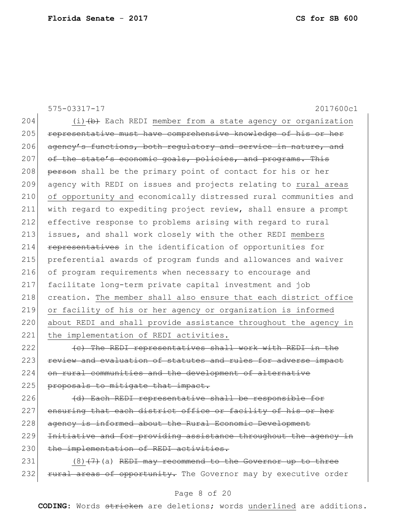|     | $575 - 03317 - 17$<br>2017600c1                                  |
|-----|------------------------------------------------------------------|
| 204 | $(i)$ $(b)$ Each REDI member from a state agency or organization |
| 205 | representative must have comprehensive knowledge of his or her   |
| 206 | agency's functions, both regulatory and service in nature, and   |
| 207 | of the state's economic goals, policies, and programs. This      |
| 208 | person shall be the primary point of contact for his or her      |
| 209 | agency with REDI on issues and projects relating to rural areas  |
| 210 | of opportunity and economically distressed rural communities and |
| 211 | with regard to expediting project review, shall ensure a prompt  |
| 212 | effective response to problems arising with regard to rural      |
| 213 | issues, and shall work closely with the other REDI members       |
| 214 | representatives in the identification of opportunities for       |
| 215 | preferential awards of program funds and allowances and waiver   |
| 216 | of program requirements when necessary to encourage and          |
| 217 | facilitate long-term private capital investment and job          |
| 218 | creation. The member shall also ensure that each district office |
| 219 | or facility of his or her agency or organization is informed     |
| 220 | about REDI and shall provide assistance throughout the agency in |
| 221 | the implementation of REDI activities.                           |
| 222 | (c) The REDI representatives shall work with REDI in the         |

223 review and evaluation of statutes and rules for adverse impact 224 on rural communities and the development of alternative 225 proposals to mitigate that impact.

 $226$  (d) Each REDI representative shall be responsible for 227 ensuring that each district office or facility of his or her 228 agency is informed about the Rural Economic Development 229 Initiative and for providing assistance throughout the agency in 230 the implementation of REDI activities.

 $231$  (8)<del>(7)</del>(a) REDI may recommend to the Governor up to three 232 rural areas of opportunity. The Governor may by executive order

### Page 8 of 20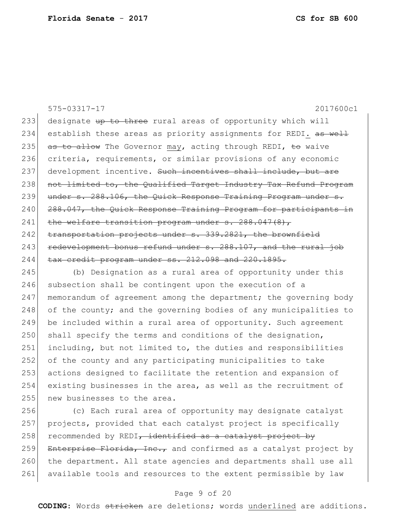575-03317-17 2017600c1 233 designate up to three rural areas of opportunity which will 234 establish these areas as priority assignments for REDI. as well 235 as to allow The Governor may, acting through REDI, to waive 236 criteria, requirements, or similar provisions of any economic 237 development incentive. Such incentives shall include, but are 238 not limited to, the Qualified Target Industry Tax Refund Program 239 under s. 288.106, the Quick Response Training Program under s. 240 288.047, the Quick Response Training Program for participants in 241 the welfare transition program under s. 288.047(8), 242 transportation projects under s. 339.2821, the brownfield  $243$  redevelopment bonus refund under  $s. 288.107$ , and the rural job  $244$  tax credit program under ss.  $212.098$  and  $220.1895$ . 245 (b) Designation as a rural area of opportunity under this

246 subsection shall be contingent upon the execution of a 247 memorandum of agreement among the department; the governing body 248 of the county; and the governing bodies of any municipalities to 249 be included within a rural area of opportunity. Such agreement  $250$  shall specify the terms and conditions of the designation, 251 including, but not limited to, the duties and responsibilities 252 of the county and any participating municipalities to take 253 actions designed to facilitate the retention and expansion of 254 existing businesses in the area, as well as the recruitment of 255 new businesses to the area.

 (c) Each rural area of opportunity may designate catalyst projects, provided that each catalyst project is specifically recommended by REDI, identified as a catalyst project by 259 Enterprise Florida, Inc., and confirmed as a catalyst project by 260 the department. All state agencies and departments shall use all available tools and resources to the extent permissible by law

### Page 9 of 20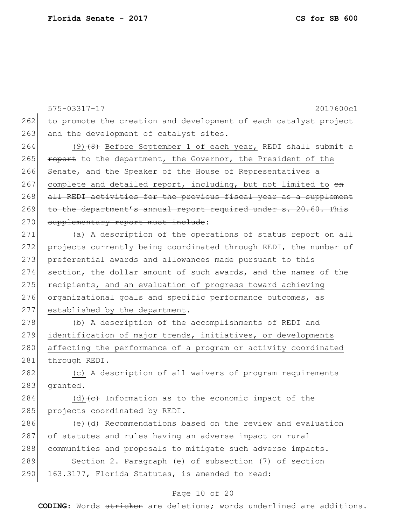575-03317-17 2017600c1 262 to promote the creation and development of each catalyst project 263 and the development of catalyst sites. 264 (9)(8) Before September 1 of each year, REDI shall submit a 265 **report** to the department, the Governor, the President of the 266 Senate, and the Speaker of the House of Representatives a 267 complete and detailed report, including, but not limited to  $\Theta$ n 268 all REDI activities for the previous fiscal year as a supplement 269 to the department's annual report required under s. 20.60. This 270 supplementary report must include: 271 (a) A description of the operations of status report on all 272 projects currently being coordinated through REDI, the number of 273 preferential awards and allowances made pursuant to this 274 section, the dollar amount of such awards, and the names of the 275 recipients, and an evaluation of progress toward achieving 276 organizational goals and specific performance outcomes, as 277 established by the department. 278 (b) A description of the accomplishments of REDI and 279 identification of major trends, initiatives, or developments 280 affecting the performance of a program or activity coordinated 281 through REDI. 282 (c) A description of all waivers of program requirements 283 granted. 284 (d)  $\left(\text{c}\right)$  Information as to the economic impact of the 285 projects coordinated by REDI. 286 (e) (d) Recommendations based on the review and evaluation 287 of statutes and rules having an adverse impact on rural 288 communities and proposals to mitigate such adverse impacts. 289 Section 2. Paragraph (e) of subsection (7) of section 290 163.3177, Florida Statutes, is amended to read:

#### Page 10 of 20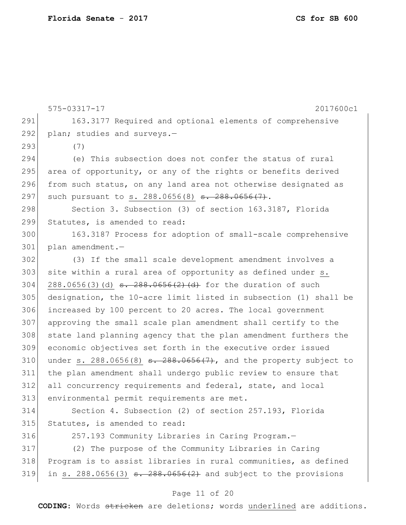575-03317-17 2017600c1 291 163.3177 Required and optional elements of comprehensive 292 plan; studies and surveys.-293 (7) 294 (e) This subsection does not confer the status of rural 295 area of opportunity, or any of the rights or benefits derived 296 from such status, on any land area not otherwise designated as 297 such pursuant to s. 288.0656(8) <del>s. 288.0656(7)</del>. 298 Section 3. Subsection (3) of section 163.3187, Florida 299 Statutes, is amended to read: 300 163.3187 Process for adoption of small-scale comprehensive 301 plan amendment.— 302 (3) If the small scale development amendment involves a 303 site within a rural area of opportunity as defined under s. 304 288.0656(3)(d)  $\frac{1}{304}$   $\frac{1}{288}$   $\frac{288.0656(2)(d)}{d}$  for the duration of such 305 designation, the 10-acre limit listed in subsection (1) shall be 306 increased by 100 percent to 20 acres. The local government 307 approving the small scale plan amendment shall certify to the 308 state land planning agency that the plan amendment furthers the 309 economic objectives set forth in the executive order issued 310 under s. 288.0656(8)  $\frac{310}{100}$  and the property subject to 311 the plan amendment shall undergo public review to ensure that 312 all concurrency requirements and federal, state, and local 313 environmental permit requirements are met. 314 Section 4. Subsection (2) of section 257.193, Florida 315 Statutes, is amended to read: 316 257.193 Community Libraries in Caring Program.— 317 (2) The purpose of the Community Libraries in Caring 318 Program is to assist libraries in rural communities, as defined 319 in s. 288.0656(3)  $s. 288.0656(2)$  and subject to the provisions

#### Page 11 of 20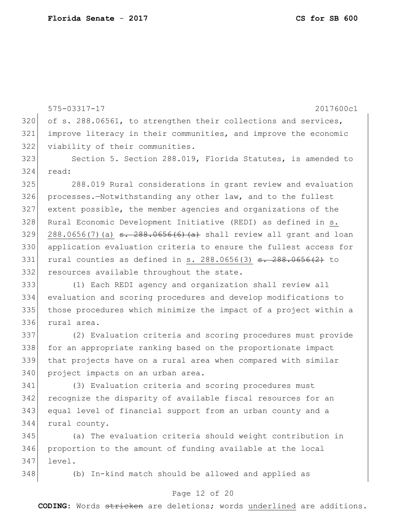575-03317-17 2017600c1 320 of s. 288.06561, to strengthen their collections and services, improve literacy in their communities, and improve the economic viability of their communities. Section 5. Section 288.019, Florida Statutes, is amended to read: 288.019 Rural considerations in grant review and evaluation 326 processes.-Notwithstanding any other law, and to the fullest extent possible, the member agencies and organizations of the Rural Economic Development Initiative (REDI) as defined in s. 329 288.0656(7)(a)  $\frac{1}{288.0656(6)}$  (a) shall review all grant and loan application evaluation criteria to ensure the fullest access for 331 rural counties as defined in s.  $288.0656(3)$   $\overline{3}$ .  $288.0656(2)$  to 332 resources available throughout the state. (1) Each REDI agency and organization shall review all evaluation and scoring procedures and develop modifications to those procedures which minimize the impact of a project within a rural area. (2) Evaluation criteria and scoring procedures must provide 338 for an appropriate ranking based on the proportionate impact that projects have on a rural area when compared with similar 340 project impacts on an urban area. (3) Evaluation criteria and scoring procedures must recognize the disparity of available fiscal resources for an equal level of financial support from an urban county and a rural county. (a) The evaluation criteria should weight contribution in proportion to the amount of funding available at the local level. (b) In-kind match should be allowed and applied as

#### Page 12 of 20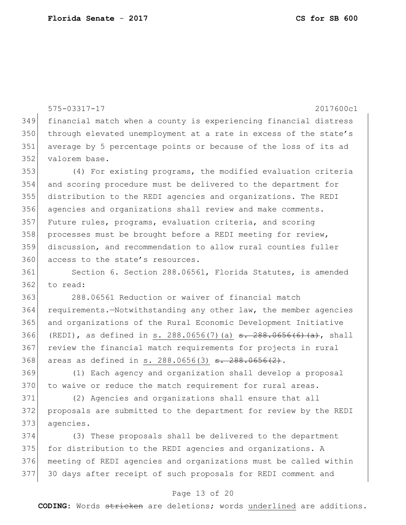575-03317-17 2017600c1 financial match when a county is experiencing financial distress 350 through elevated unemployment at a rate in excess of the state's average by 5 percentage points or because of the loss of its ad 352 valorem base. (4) For existing programs, the modified evaluation criteria and scoring procedure must be delivered to the department for distribution to the REDI agencies and organizations. The REDI agencies and organizations shall review and make comments. Future rules, programs, evaluation criteria, and scoring 358 processes must be brought before a REDI meeting for review, discussion, and recommendation to allow rural counties fuller 360 access to the state's resources. Section 6. Section 288.06561, Florida Statutes, is amended to read: 288.06561 Reduction or waiver of financial match requirements.—Notwithstanding any other law, the member agencies and organizations of the Rural Economic Development Initiative 366 (REDI), as defined in s. 288.0656(7)(a)  $\frac{1}{36}$   $\frac{1}{288.0656(6)(a)}$ , shall review the financial match requirements for projects in rural 368 areas as defined in s. 288.0656(3) <del>s. 288.0656(2)</del>. (1) Each agency and organization shall develop a proposal 370 to waive or reduce the match requirement for rural areas. (2) Agencies and organizations shall ensure that all proposals are submitted to the department for review by the REDI agencies.

 (3) These proposals shall be delivered to the department 375 for distribution to the REDI agencies and organizations. A meeting of REDI agencies and organizations must be called within 30 days after receipt of such proposals for REDI comment and

#### Page 13 of 20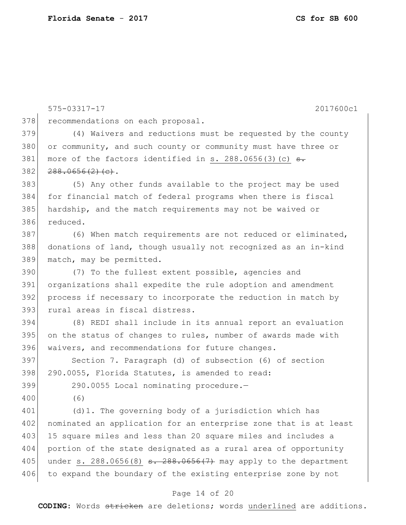575-03317-17 2017600c1 378 recommendations on each proposal. 379 (4) Waivers and reductions must be requested by the county 380 or community, and such county or community must have three or 381 more of the factors identified in s.  $288.0656(3)$  (c)  $\overline{\mathbf{S}}$ .  $382$   $288.0656(2)(e).$ 383 (5) Any other funds available to the project may be used 384 for financial match of federal programs when there is fiscal 385 hardship, and the match requirements may not be waived or 386 reduced. 387 (6) When match requirements are not reduced or eliminated, 388 donations of land, though usually not recognized as an in-kind 389 match, may be permitted. 390 (7) To the fullest extent possible, agencies and 391 organizations shall expedite the rule adoption and amendment 392 process if necessary to incorporate the reduction in match by 393 rural areas in fiscal distress. 394 (8) REDI shall include in its annual report an evaluation  $395$  on the status of changes to rules, number of awards made with 396 waivers, and recommendations for future changes. 397 Section 7. Paragraph (d) of subsection (6) of section 398 290.0055, Florida Statutes, is amended to read: 399 290.0055 Local nominating procedure.— 400 (6) 401 (d)1. The governing body of a jurisdiction which has 402 nominated an application for an enterprise zone that is at least 403 15 square miles and less than 20 square miles and includes a 404 portion of the state designated as a rural area of opportunity 405 under s.  $288.0656(8)$   $\frac{.288.0656(7)}{.288.0656(7)}$  may apply to the department 406 to expand the boundary of the existing enterprise zone by not

### Page 14 of 20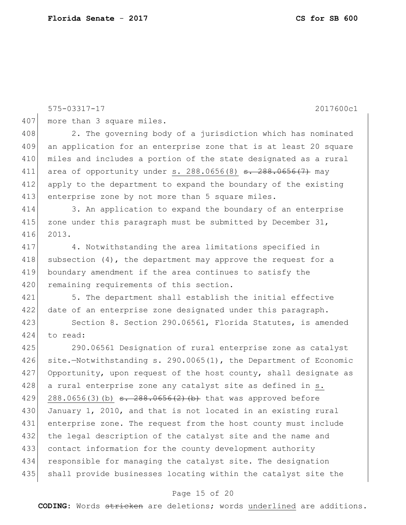575-03317-17 2017600c1 407 more than 3 square miles. 408 2. The governing body of a jurisdiction which has nominated 409 an application for an enterprise zone that is at least 20 square 410 miles and includes a portion of the state designated as a rural 411 area of opportunity under s. 288.0656(8)  $\frac{1}{3}$ . 288.0656(7) may 412 apply to the department to expand the boundary of the existing 413 enterprise zone by not more than 5 square miles. 414 3. An application to expand the boundary of an enterprise 415 zone under this paragraph must be submitted by December  $31$ , 416 2013. 417 4. Notwithstanding the area limitations specified in 418 subsection  $(4)$ , the department may approve the request for a 419 boundary amendment if the area continues to satisfy the 420 remaining requirements of this section. 421 5. The department shall establish the initial effective 422 date of an enterprise zone designated under this paragraph. 423 Section 8. Section 290.06561, Florida Statutes, is amended 424 to read: 425 290.06561 Designation of rural enterprise zone as catalyst 426 site.-Notwithstanding s. 290.0065(1), the Department of Economic 427 Opportunity, upon request of the host county, shall designate as 428 a rural enterprise zone any catalyst site as defined in s. 429 288.0656(3)(b)  $\frac{1}{3}$ . 288.0656(2)(b) that was approved before 430 January 1, 2010, and that is not located in an existing rural 431 enterprise zone. The request from the host county must include 432 the legal description of the catalyst site and the name and 433 contact information for the county development authority 434 responsible for managing the catalyst site. The designation 435 shall provide businesses locating within the catalyst site the

#### Page 15 of 20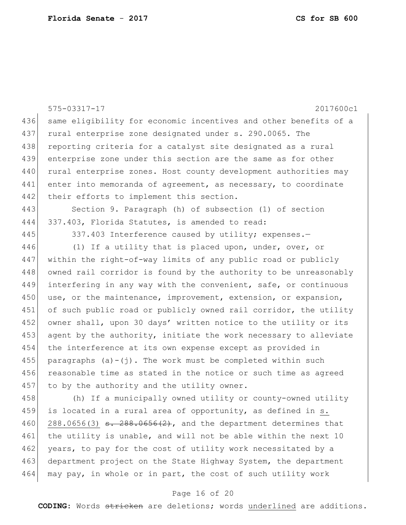|     | 575-03317-17<br>2017600c1                                                                 |
|-----|-------------------------------------------------------------------------------------------|
| 436 | same eligibility for economic incentives and other benefits of a                          |
| 437 | rural enterprise zone designated under s. 290.0065. The                                   |
| 438 | reporting criteria for a catalyst site designated as a rural                              |
| 439 | enterprise zone under this section are the same as for other                              |
| 440 | rural enterprise zones. Host county development authorities may                           |
| 441 | enter into memoranda of agreement, as necessary, to coordinate                            |
| 442 | their efforts to implement this section.                                                  |
| 443 | Section 9. Paragraph (h) of subsection (1) of section                                     |
| 444 | 337.403, Florida Statutes, is amended to read:                                            |
| 445 | 337.403 Interference caused by utility; expenses.-                                        |
| 446 | (1) If a utility that is placed upon, under, over, or                                     |
| 447 | within the right-of-way limits of any public road or publicly                             |
| 448 | owned rail corridor is found by the authority to be unreasonably                          |
| 449 | interfering in any way with the convenient, safe, or continuous                           |
| 450 | use, or the maintenance, improvement, extension, or expansion,                            |
| 451 | of such public road or publicly owned rail corridor, the utility                          |
| 452 | owner shall, upon 30 days' written notice to the utility or its                           |
| 453 | agent by the authority, initiate the work necessary to alleviate                          |
| 454 | the interference at its own expense except as provided in                                 |
| 455 | paragraphs $(a) - (i)$ . The work must be completed within such                           |
| 456 | reasonable time as stated in the notice or such time as agreed                            |
| 457 | to by the authority and the utility owner.                                                |
| 458 | (h) If a municipally owned utility or county-owned utility                                |
| 459 | is located in a rural area of opportunity, as defined in s.                               |
| 460 | $288.0656(3)$ <del>s. <math>288.0656(2)</math></del> , and the department determines that |
| 461 | the utility is unable, and will not be able within the next 10                            |
| 462 | years, to pay for the cost of utility work necessitated by a                              |
| 463 | department project on the State Highway System, the department                            |
| 464 | may pay, in whole or in part, the cost of such utility work                               |

## Page 16 of 20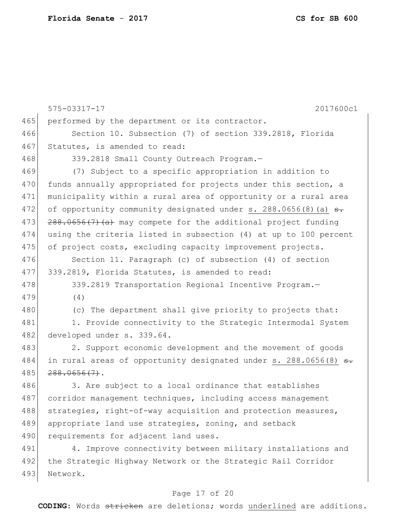|     | 575-03317-17<br>2017600c1                                                   |
|-----|-----------------------------------------------------------------------------|
| 465 | performed by the department or its contractor.                              |
| 466 | Section 10. Subsection (7) of section 339.2818, Florida                     |
| 467 | Statutes, is amended to read:                                               |
| 468 | 339.2818 Small County Outreach Program.-                                    |
| 469 | (7) Subject to a specific appropriation in addition to                      |
| 470 | funds annually appropriated for projects under this section, a              |
| 471 | municipality within a rural area of opportunity or a rural area             |
| 472 | of opportunity community designated under s. $288.0656(8)$ (a) $\theta$ .   |
| 473 | 288.0656(7) (a) may compete for the additional project funding              |
| 474 | using the criteria listed in subsection (4) at up to 100 percent            |
| 475 | of project costs, excluding capacity improvement projects.                  |
| 476 | Section 11. Paragraph (c) of subsection (4) of section                      |
| 477 | 339.2819, Florida Statutes, is amended to read:                             |
| 478 | 339.2819 Transportation Regional Incentive Program.-                        |
| 479 | (4)                                                                         |
| 480 | (c) The department shall give priority to projects that:                    |
| 481 | 1. Provide connectivity to the Strategic Intermodal System                  |
| 482 | developed under s. 339.64.                                                  |
| 483 | 2. Support economic development and the movement of goods                   |
| 484 | in rural areas of opportunity designated under s. 288.0656(8) <del>s.</del> |
| 485 | $288.0656(7)$ .                                                             |
| 486 | 3. Are subject to a local ordinance that establishes                        |
| 487 | corridor management techniques, including access management                 |
| 488 | strategies, right-of-way acquisition and protection measures,               |
| 489 | appropriate land use strategies, zoning, and setback                        |
| 490 | requirements for adjacent land uses.                                        |
| 491 | 4. Improve connectivity between military installations and                  |
| 492 | the Strategic Highway Network or the Strategic Rail Corridor                |
| 493 | Network.                                                                    |
|     |                                                                             |

## Page 17 of 20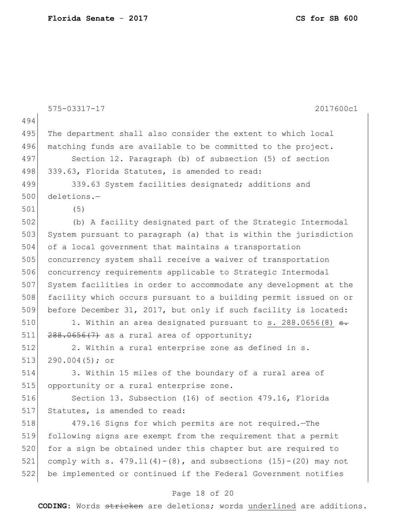|     | 575-03317-17<br>2017600c1                                             |
|-----|-----------------------------------------------------------------------|
| 494 |                                                                       |
| 495 | The department shall also consider the extent to which local          |
| 496 | matching funds are available to be committed to the project.          |
| 497 | Section 12. Paragraph (b) of subsection (5) of section                |
| 498 | 339.63, Florida Statutes, is amended to read:                         |
| 499 | 339.63 System facilities designated; additions and                    |
| 500 | deletions.-                                                           |
| 501 | (5)                                                                   |
| 502 | (b) A facility designated part of the Strategic Intermodal            |
| 503 | System pursuant to paragraph (a) that is within the jurisdiction      |
| 504 | of a local government that maintains a transportation                 |
| 505 | concurrency system shall receive a waiver of transportation           |
| 506 | concurrency requirements applicable to Strategic Intermodal           |
| 507 | System facilities in order to accommodate any development at the      |
| 508 | facility which occurs pursuant to a building permit issued on or      |
| 509 | before December 31, 2017, but only if such facility is located:       |
| 510 | 1. Within an area designated pursuant to s. 288.0656(8) <del>s.</del> |
| 511 | $288.0656(7)$ as a rural area of opportunity;                         |
| 512 | 2. Within a rural enterprise zone as defined in s.                    |
| 513 | $290.004(5);$ or                                                      |
| 514 | 3. Within 15 miles of the boundary of a rural area of                 |
| 515 | opportunity or a rural enterprise zone.                               |
| 516 | Section 13. Subsection (16) of section 479.16, Florida                |
| 517 | Statutes, is amended to read:                                         |
| 518 | 479.16 Signs for which permits are not required. - The                |
| 519 | following signs are exempt from the requirement that a permit         |
| 520 | for a sign be obtained under this chapter but are required to         |
| 521 | comply with s. $479.11(4)-(8)$ , and subsections $(15)-(20)$ may not  |
| 522 | be implemented or continued if the Federal Government notifies        |
|     | Page 18 of 20                                                         |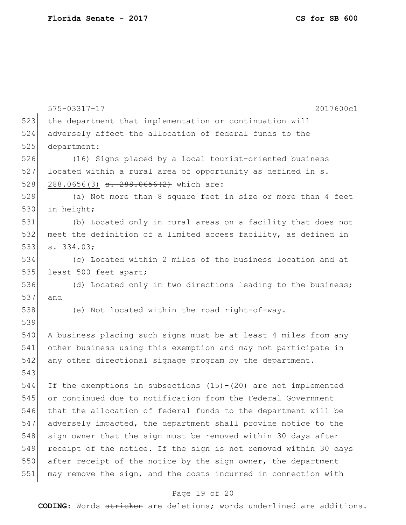|     | $575 - 03317 - 17$<br>2017600c1                                    |
|-----|--------------------------------------------------------------------|
| 523 | the department that implementation or continuation will            |
| 524 | adversely affect the allocation of federal funds to the            |
| 525 | department:                                                        |
| 526 | (16) Signs placed by a local tourist-oriented business             |
| 527 | located within a rural area of opportunity as defined in s.        |
| 528 | 288.0656(3) <del>s. 288.0656(2)</del> which are:                   |
| 529 | (a) Not more than 8 square feet in size or more than 4 feet        |
| 530 | in height;                                                         |
| 531 | (b) Located only in rural areas on a facility that does not        |
| 532 | meet the definition of a limited access facility, as defined in    |
| 533 | s. 334.03;                                                         |
| 534 | (c) Located within 2 miles of the business location and at         |
| 535 | least 500 feet apart;                                              |
| 536 | (d) Located only in two directions leading to the business;        |
| 537 | and                                                                |
| 538 | (e) Not located within the road right-of-way.                      |
| 539 |                                                                    |
| 540 | A business placing such signs must be at least 4 miles from any    |
| 541 | other business using this exemption and may not participate in     |
| 542 | any other directional signage program by the department.           |
| 543 |                                                                    |
| 544 | If the exemptions in subsections $(15) - (20)$ are not implemented |
| 545 | or continued due to notification from the Federal Government       |
| 546 | that the allocation of federal funds to the department will be     |
| 547 | adversely impacted, the department shall provide notice to the     |
| 548 | sign owner that the sign must be removed within 30 days after      |
| 549 | receipt of the notice. If the sign is not removed within 30 days   |
| 550 | after receipt of the notice by the sign owner, the department      |
| 551 | may remove the sign, and the costs incurred in connection with     |

## Page 19 of 20